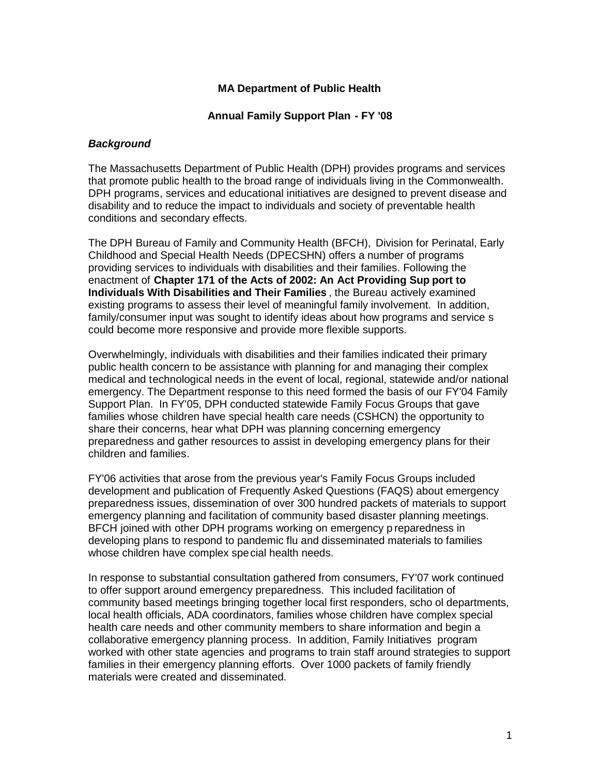### **MA Department of Public Health**

#### **Annual Family Support Plan - FY '08**

#### *Background*

The Massachusetts Department of Public Health (DPH) provides programs and services that promote public health to the broad range of individuals living in the Commonwealth. DPH programs, services and educational initiatives are designed to prevent disease and disability and to reduce the impact to individuals and society of preventable health conditions and secondary effects.

The DPH Bureau of Family and Community Health (BFCH), Division for Perinatal, Early Childhood and Special Health Needs (DPECSHN) offers a number of programs providing services to individuals with disabilities and their families. Following the enactment of **Chapter 171 of the Acts of 2002: An Act Providing Sup port to Individuals With Disabilities and Their Families** , the Bureau actively examined existing programs to assess their level of meaningful family involvement. In addition, family/consumer input was sought to identify ideas about how programs and service s could become more responsive and provide more flexible supports.

Overwhelmingly, individuals with disabilities and their families indicated their primary public health concern to be assistance with planning for and managing their complex medical and technological needs in the event of local, regional, statewide and/or national emergency. The Department response to this need formed the basis of our FY'04 Family Support Plan. In FY'05, DPH conducted statewide Family Focus Groups that gave families whose children have special health care needs (CSHCN) the opportunity to share their concerns, hear what DPH was planning concerning emergency preparedness and gather resources to assist in developing emergency plans for their children and families.

FY'06 activities that arose from the previous year's Family Focus Groups included development and publication of Frequently Asked Questions (FAQS) about emergency preparedness issues, dissemination of over 300 hundred packets of materials to support emergency planning and facilitation of community based disaster planning meetings. BFCH joined with other DPH programs working on emergency p reparedness in developing plans to respond to pandemic flu and disseminated materials to families whose children have complex special health needs.

In response to substantial consultation gathered from consumers, FY'07 work continued to offer support around emergency preparedness. This included facilitation of community based meetings bringing together local first responders, scho ol departments, local health officials, ADA coordinators, families whose children have complex special health care needs and other community members to share information and begin a collaborative emergency planning process. In addition, Family Initiatives program worked with other state agencies and programs to train staff around strategies to support families in their emergency planning efforts. Over 1000 packets of family friendly materials were created and disseminated.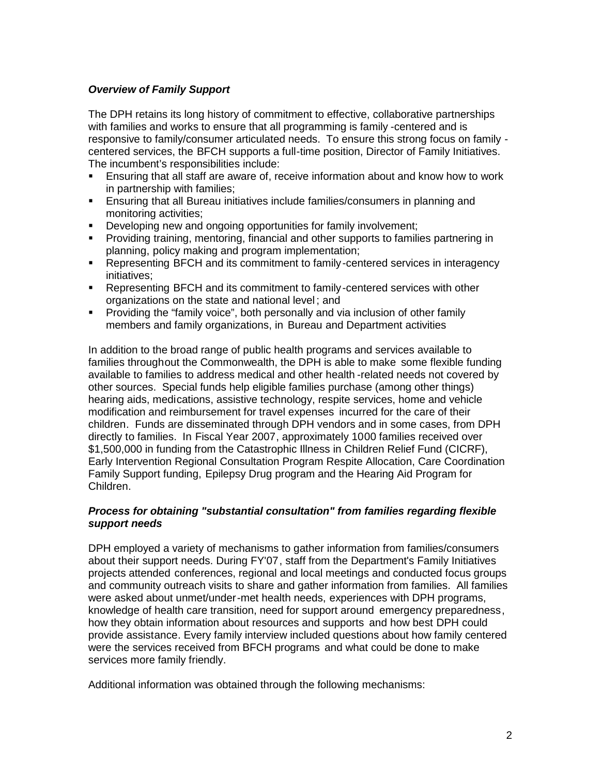## *Overview of Family Support*

The DPH retains its long history of commitment to effective, collaborative partnerships with families and works to ensure that all programming is family -centered and is responsive to family/consumer articulated needs. To ensure this strong focus on family centered services, the BFCH supports a full-time position, Director of Family Initiatives. The incumbent's responsibilities include:

- Ensuring that all staff are aware of, receive information about and know how to work in partnership with families;
- Ensuring that all Bureau initiatives include families/consumers in planning and monitoring activities;
- Developing new and ongoing opportunities for family involvement;
- **Providing training, mentoring, financial and other supports to families partnering in** planning, policy making and program implementation;
- Representing BFCH and its commitment to family-centered services in interagency initiatives;
- Representing BFCH and its commitment to family-centered services with other organizations on the state and national level ; and
- Providing the "family voice", both personally and via inclusion of other family members and family organizations, in Bureau and Department activities

In addition to the broad range of public health programs and services available to families throughout the Commonwealth, the DPH is able to make some flexible funding available to families to address medical and other health -related needs not covered by other sources. Special funds help eligible families purchase (among other things) hearing aids, medications, assistive technology, respite services, home and vehicle modification and reimbursement for travel expenses incurred for the care of their children. Funds are disseminated through DPH vendors and in some cases, from DPH directly to families. In Fiscal Year 2007, approximately 1000 families received over \$1,500,000 in funding from the Catastrophic Illness in Children Relief Fund (CICRF), Early Intervention Regional Consultation Program Respite Allocation, Care Coordination Family Support funding, Epilepsy Drug program and the Hearing Aid Program for Children.

## *Process for obtaining "substantial consultation" from families regarding flexible support needs*

DPH employed a variety of mechanisms to gather information from families/consumers about their support needs. During FY'07, staff from the Department's Family Initiatives projects attended conferences, regional and local meetings and conducted focus groups and community outreach visits to share and gather information from families. All families were asked about unmet/under-met health needs, experiences with DPH programs, knowledge of health care transition, need for support around emergency preparedness, how they obtain information about resources and supports and how best DPH could provide assistance. Every family interview included questions about how family centered were the services received from BFCH programs and what could be done to make services more family friendly.

Additional information was obtained through the following mechanisms: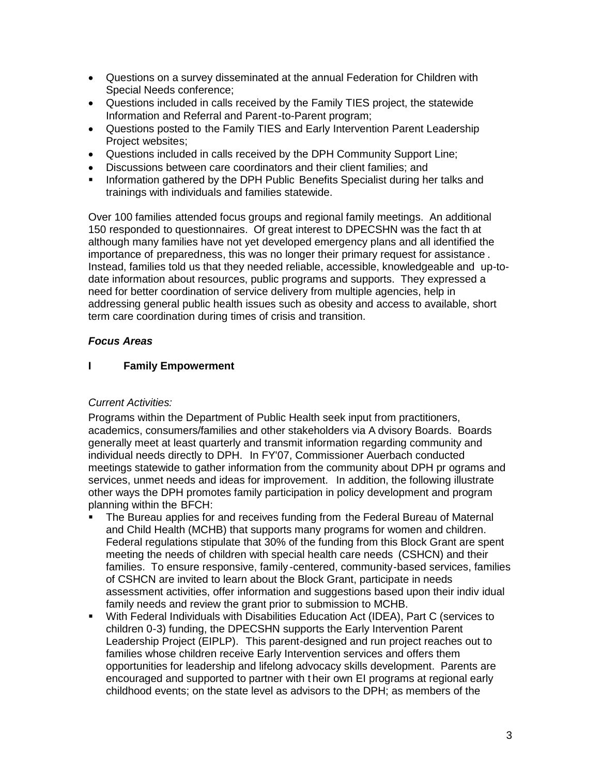- Questions on a survey disseminated at the annual Federation for Children with Special Needs conference;
- Questions included in calls received by the Family TIES project, the statewide Information and Referral and Parent-to-Parent program;
- Questions posted to the Family TIES and Early Intervention Parent Leadership Project websites;
- Questions included in calls received by the DPH Community Support Line;
- Discussions between care coordinators and their client families; and
- **Information gathered by the DPH Public Benefits Specialist during her talks and** trainings with individuals and families statewide.

Over 100 families attended focus groups and regional family meetings. An additional 150 responded to questionnaires. Of great interest to DPECSHN was the fact th at although many families have not yet developed emergency plans and all identified the importance of preparedness, this was no longer their primary request for assistance . Instead, families told us that they needed reliable, accessible, knowledgeable and up-todate information about resources, public programs and supports. They expressed a need for better coordination of service delivery from multiple agencies, help in addressing general public health issues such as obesity and access to available, short term care coordination during times of crisis and transition.

## *Focus Areas*

## **I Family Empowerment**

## *Current Activities:*

Programs within the Department of Public Health seek input from practitioners, academics, consumers/families and other stakeholders via A dvisory Boards. Boards generally meet at least quarterly and transmit information regarding community and individual needs directly to DPH. In FY'07, Commissioner Auerbach conducted meetings statewide to gather information from the community about DPH pr ograms and services, unmet needs and ideas for improvement. In addition, the following illustrate other ways the DPH promotes family participation in policy development and program planning within the BFCH:

- The Bureau applies for and receives funding from the Federal Bureau of Maternal and Child Health (MCHB) that supports many programs for women and children. Federal regulations stipulate that 30% of the funding from this Block Grant are spent meeting the needs of children with special health care needs (CSHCN) and their families. To ensure responsive, family -centered, community-based services, families of CSHCN are invited to learn about the Block Grant, participate in needs assessment activities, offer information and suggestions based upon their indiv idual family needs and review the grant prior to submission to MCHB.
- With Federal Individuals with Disabilities Education Act (IDEA), Part C (services to children 0-3) funding, the DPECSHN supports the Early Intervention Parent Leadership Project (EIPLP). This parent-designed and run project reaches out to families whose children receive Early Intervention services and offers them opportunities for leadership and lifelong advocacy skills development. Parents are encouraged and supported to partner with t heir own EI programs at regional early childhood events; on the state level as advisors to the DPH; as members of the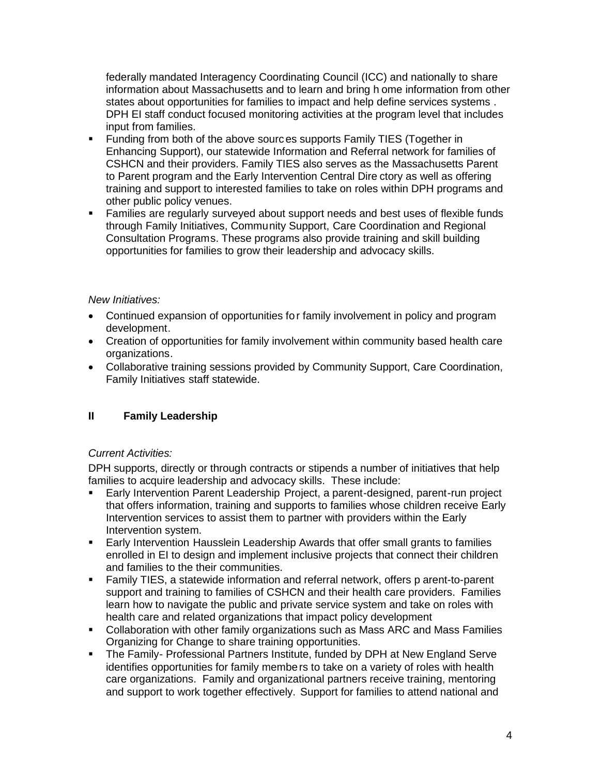federally mandated Interagency Coordinating Council (ICC) and nationally to share information about Massachusetts and to learn and bring h ome information from other states about opportunities for families to impact and help define services systems . DPH EI staff conduct focused monitoring activities at the program level that includes input from families.

- Funding from both of the above sourc es supports Family TIES (Together in Enhancing Support), our statewide Information and Referral network for families of CSHCN and their providers. Family TIES also serves as the Massachusetts Parent to Parent program and the Early Intervention Central Dire ctory as well as offering training and support to interested families to take on roles within DPH programs and other public policy venues.
- Families are regularly surveyed about support needs and best uses of flexible funds through Family Initiatives, Community Support, Care Coordination and Regional Consultation Programs. These programs also provide training and skill building opportunities for families to grow their leadership and advocacy skills.

## *New Initiatives:*

- Continued expansion of opportunities for family involvement in policy and program development.
- Creation of opportunities for family involvement within community based health care organizations.
- Collaborative training sessions provided by Community Support, Care Coordination, Family Initiatives staff statewide.

# **II Family Leadership**

# *Current Activities:*

DPH supports, directly or through contracts or stipends a number of initiatives that help families to acquire leadership and advocacy skills. These include:

- Early Intervention Parent Leadership Project, a parent-designed, parent-run project that offers information, training and supports to families whose children receive Early Intervention services to assist them to partner with providers within the Early Intervention system.
- Early Intervention Hausslein Leadership Awards that offer small grants to families enrolled in EI to design and implement inclusive projects that connect their children and families to the their communities.
- Family TIES, a statewide information and referral network, offers p arent-to-parent support and training to families of CSHCN and their health care providers. Families learn how to navigate the public and private service system and take on roles with health care and related organizations that impact policy development
- Collaboration with other family organizations such as Mass ARC and Mass Families Organizing for Change to share training opportunities.
- The Family- Professional Partners Institute, funded by DPH at New England Serve identifies opportunities for family members to take on a variety of roles with health care organizations. Family and organizational partners receive training, mentoring and support to work together effectively. Support for families to attend national and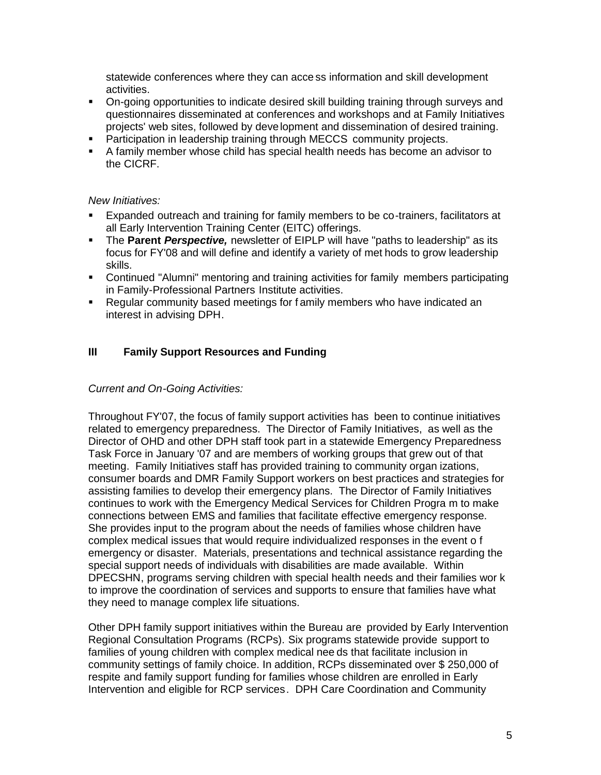statewide conferences where they can acce ss information and skill development activities.

- On-going opportunities to indicate desired skill building training through surveys and questionnaires disseminated at conferences and workshops and at Family Initiatives projects' web sites, followed by development and dissemination of desired training.
- **Participation in leadership training through MECCS community projects.**
- A family member whose child has special health needs has become an advisor to the CICRF.

### *New Initiatives:*

- Expanded outreach and training for family members to be co-trainers, facilitators at all Early Intervention Training Center (EITC) offerings.
- The **Parent** *Perspective,* newsletter of EIPLP will have "paths to leadership" as its focus for FY'08 and will define and identify a variety of met hods to grow leadership skills.
- Continued "Alumni" mentoring and training activities for family members participating in Family-Professional Partners Institute activities.
- Regular community based meetings for f amily members who have indicated an interest in advising DPH.

## **III Family Support Resources and Funding**

#### *Current and On-Going Activities:*

Throughout FY'07, the focus of family support activities has been to continue initiatives related to emergency preparedness. The Director of Family Initiatives, as well as the Director of OHD and other DPH staff took part in a statewide Emergency Preparedness Task Force in January '07 and are members of working groups that grew out of that meeting. Family Initiatives staff has provided training to community organ izations, consumer boards and DMR Family Support workers on best practices and strategies for assisting families to develop their emergency plans. The Director of Family Initiatives continues to work with the Emergency Medical Services for Children Progra m to make connections between EMS and families that facilitate effective emergency response. She provides input to the program about the needs of families whose children have complex medical issues that would require individualized responses in the event o f emergency or disaster. Materials, presentations and technical assistance regarding the special support needs of individuals with disabilities are made available. Within DPECSHN, programs serving children with special health needs and their families wor k to improve the coordination of services and supports to ensure that families have what they need to manage complex life situations.

Other DPH family support initiatives within the Bureau are provided by Early Intervention Regional Consultation Programs (RCPs). Six programs statewide provide support to families of young children with complex medical nee ds that facilitate inclusion in community settings of family choice. In addition, RCPs disseminated over \$ 250,000 of respite and family support funding for families whose children are enrolled in Early Intervention and eligible for RCP services. DPH Care Coordination and Community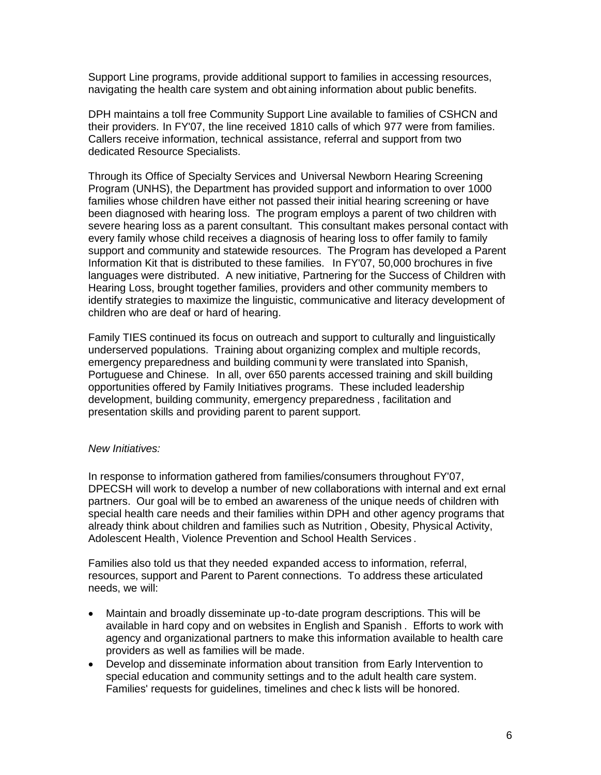Support Line programs, provide additional support to families in accessing resources, navigating the health care system and obt aining information about public benefits.

DPH maintains a toll free Community Support Line available to families of CSHCN and their providers. In FY'07, the line received 1810 calls of which 977 were from families. Callers receive information, technical assistance, referral and support from two dedicated Resource Specialists.

Through its Office of Specialty Services and Universal Newborn Hearing Screening Program (UNHS), the Department has provided support and information to over 1000 families whose children have either not passed their initial hearing screening or have been diagnosed with hearing loss. The program employs a parent of two children with severe hearing loss as a parent consultant. This consultant makes personal contact with every family whose child receives a diagnosis of hearing loss to offer family to family support and community and statewide resources. The Program has developed a Parent Information Kit that is distributed to these families. In FY'07, 50,000 brochures in five languages were distributed. A new initiative, Partnering for the Success of Children with Hearing Loss, brought together families, providers and other community members to identify strategies to maximize the linguistic, communicative and literacy development of children who are deaf or hard of hearing.

Family TIES continued its focus on outreach and support to culturally and linguistically underserved populations. Training about organizing complex and multiple records, emergency preparedness and building communi ty were translated into Spanish, Portuguese and Chinese. In all, over 650 parents accessed training and skill building opportunities offered by Family Initiatives programs. These included leadership development, building community, emergency preparedness , facilitation and presentation skills and providing parent to parent support.

#### *New Initiatives:*

In response to information gathered from families/consumers throughout FY'07, DPECSH will work to develop a number of new collaborations with internal and ext ernal partners. Our goal will be to embed an awareness of the unique needs of children with special health care needs and their families within DPH and other agency programs that already think about children and families such as Nutrition , Obesity, Physical Activity, Adolescent Health, Violence Prevention and School Health Services .

Families also told us that they needed expanded access to information, referral, resources, support and Parent to Parent connections. To address these articulated needs, we will:

- Maintain and broadly disseminate up-to-date program descriptions. This will be available in hard copy and on websites in English and Spanish . Efforts to work with agency and organizational partners to make this information available to health care providers as well as families will be made.
- Develop and disseminate information about transition from Early Intervention to special education and community settings and to the adult health care system. Families' requests for guidelines, timelines and chec k lists will be honored.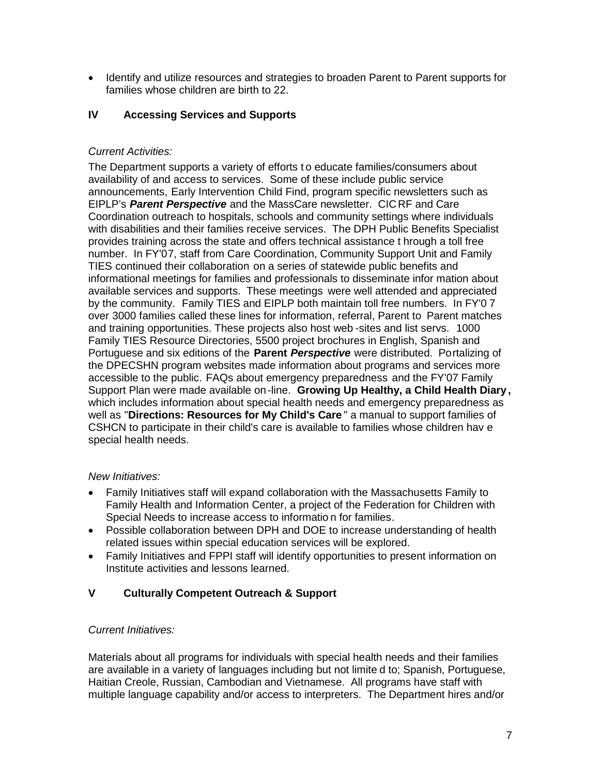• Identify and utilize resources and strategies to broaden Parent to Parent supports for families whose children are birth to 22.

## **IV Accessing Services and Supports**

## *Current Activities:*

The Department supports a variety of efforts t o educate families/consumers about availability of and access to services. Some of these include public service announcements, Early Intervention Child Find, program specific newsletters such as EIPLP's *Parent Perspective* and the MassCare newsletter. CICRF and Care Coordination outreach to hospitals, schools and community settings where individuals with disabilities and their families receive services. The DPH Public Benefits Specialist provides training across the state and offers technical assistance t hrough a toll free number. In FY'07, staff from Care Coordination, Community Support Unit and Family TIES continued their collaboration on a series of statewide public benefits and informational meetings for families and professionals to disseminate infor mation about available services and supports. These meetings were well attended and appreciated by the community. Family TIES and EIPLP both maintain toll free numbers. In FY'0 7 over 3000 families called these lines for information, referral, Parent to Parent matches and training opportunities. These projects also host web -sites and list servs. 1000 Family TIES Resource Directories, 5500 project brochures in English, Spanish and Portuguese and six editions of the **Parent** *Perspective* were distributed. Portalizing of the DPECSHN program websites made information about programs and services more accessible to the public. FAQs about emergency preparedness and the FY'07 Family Support Plan were made available on-line. **Growing Up Healthy, a Child Health Diary ,** which includes information about special health needs and emergency preparedness as well as "**Directions: Resources for My Child's Care** " a manual to support families of CSHCN to participate in their child's care is available to families whose children hav e special health needs.

## *New Initiatives:*

- Family Initiatives staff will expand collaboration with the Massachusetts Family to Family Health and Information Center, a project of the Federation for Children with Special Needs to increase access to informatio n for families.
- Possible collaboration between DPH and DOE to increase understanding of health related issues within special education services will be explored.
- Family Initiatives and FPPI staff will identify opportunities to present information on Institute activities and lessons learned.

## **V Culturally Competent Outreach & Support**

## *Current Initiatives:*

Materials about all programs for individuals with special health needs and their families are available in a variety of languages including but not limite d to; Spanish, Portuguese, Haitian Creole, Russian, Cambodian and Vietnamese. All programs have staff with multiple language capability and/or access to interpreters. The Department hires and/or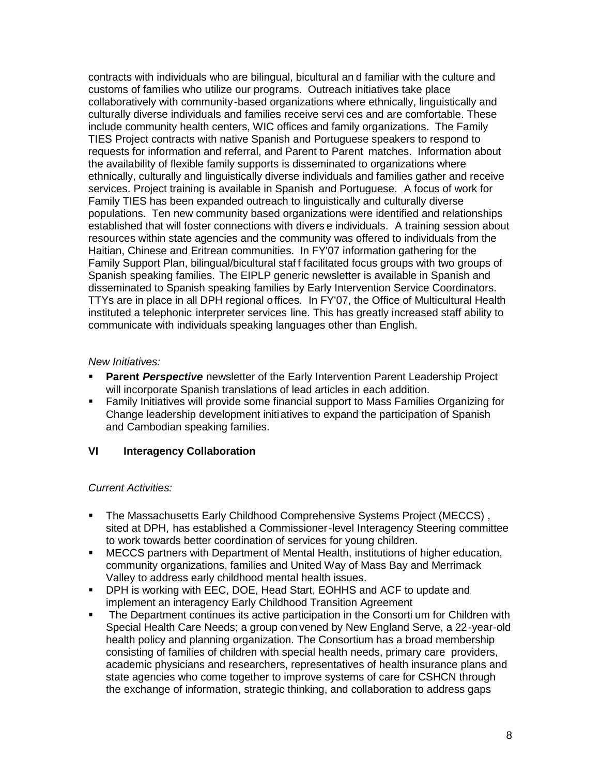contracts with individuals who are bilingual, bicultural an d familiar with the culture and customs of families who utilize our programs. Outreach initiatives take place collaboratively with community-based organizations where ethnically, linguistically and culturally diverse individuals and families receive servi ces and are comfortable. These include community health centers, WIC offices and family organizations. The Family TIES Project contracts with native Spanish and Portuguese speakers to respond to requests for information and referral, and Parent to Parent matches. Information about the availability of flexible family supports is disseminated to organizations where ethnically, culturally and linguistically diverse individuals and families gather and receive services. Project training is available in Spanish and Portuguese. A focus of work for Family TIES has been expanded outreach to linguistically and culturally diverse populations. Ten new community based organizations were identified and relationships established that will foster connections with divers e individuals. A training session about resources within state agencies and the community was offered to individuals from the Haitian, Chinese and Eritrean communities. In FY'07 information gathering for the Family Support Plan, bilingual/bicultural staf f facilitated focus groups with two groups of Spanish speaking families. The EIPLP generic newsletter is available in Spanish and disseminated to Spanish speaking families by Early Intervention Service Coordinators. TTYs are in place in all DPH regional offices. In FY'07, the Office of Multicultural Health instituted a telephonic interpreter services line. This has greatly increased staff ability to communicate with individuals speaking languages other than English.

### *New Initiatives:*

- **Parent** *Perspective* newsletter of the Early Intervention Parent Leadership Project will incorporate Spanish translations of lead articles in each addition.
- Family Initiatives will provide some financial support to Mass Families Organizing for Change leadership development initiatives to expand the participation of Spanish and Cambodian speaking families.

## **VI Interagency Collaboration**

## *Current Activities:*

- The Massachusetts Early Childhood Comprehensive Systems Project (MECCS) , sited at DPH, has established a Commissioner-level Interagency Steering committee to work towards better coordination of services for young children.
- MECCS partners with Department of Mental Health, institutions of higher education, community organizations, families and United Way of Mass Bay and Merrimack Valley to address early childhood mental health issues.
- DPH is working with EEC, DOE, Head Start, EOHHS and ACF to update and implement an interagency Early Childhood Transition Agreement
- The Department continues its active participation in the Consorti um for Children with Special Health Care Needs; a group con vened by New England Serve, a 22-year-old health policy and planning organization. The Consortium has a broad membership consisting of families of children with special health needs, primary care providers, academic physicians and researchers, representatives of health insurance plans and state agencies who come together to improve systems of care for CSHCN through the exchange of information, strategic thinking, and collaboration to address gaps